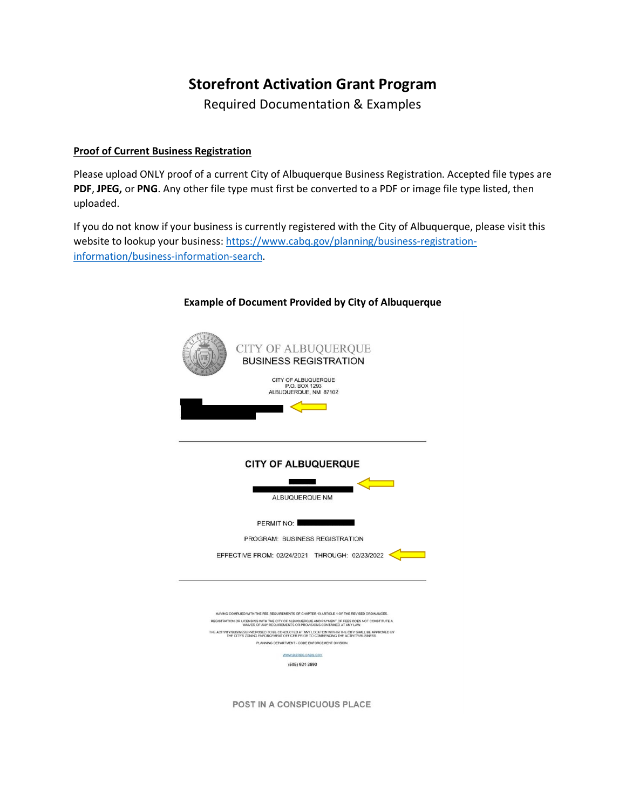# **Storefront Activation Grant Program**

Required Documentation & Examples

# **Proof of Current Business Registration**

Please upload ONLY proof of a current City of Albuquerque Business Registration. Accepted file types are **PDF**, **JPEG,** or **PNG**. Any other file type must first be converted to a PDF or image file type listed, then uploaded.

If you do not know if your business is currently registered with the City of Albuquerque, please visit this website to lookup your business: [https://www.cabq.gov/planning/business-registration](https://www.cabq.gov/planning/business-registration-information/business-information-search)[information/business-information-search.](https://www.cabq.gov/planning/business-registration-information/business-information-search)



## **Example of Document Provided by City of Albuquerque**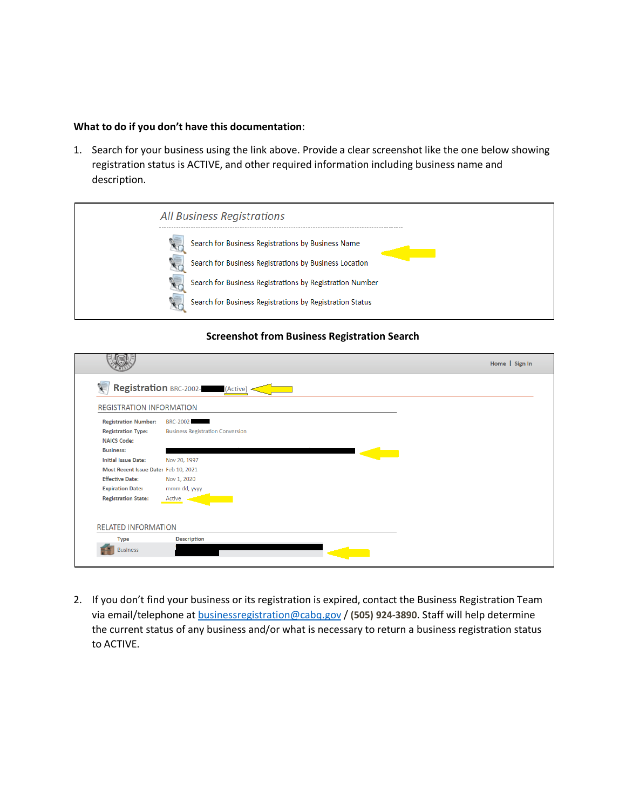#### **What to do if you don't have this documentation**:

1. Search for your business using the link above. Provide a clear screenshot like the one below showing registration status is ACTIVE, and other required information including business name and description.



### **Screenshot from Business Registration Search**

| <b>REGISTRATION INFORMATION</b>                                                |                                                      |  |
|--------------------------------------------------------------------------------|------------------------------------------------------|--|
| <b>Registration Number:</b><br><b>Registration Type:</b><br><b>NAICS Code:</b> | BRC-2002-<br><b>Business Registration Conversion</b> |  |
| <b>Business:</b>                                                               |                                                      |  |
| <b>Initial Issue Date:</b>                                                     | Nov 20, 1997                                         |  |
| Most Recent Issue Date: Feb 10, 2021                                           |                                                      |  |
| <b>Effective Date:</b>                                                         | Nov 1, 2020                                          |  |
| <b>Expiration Date:</b>                                                        | mmm dd, yyyy                                         |  |
| <b>Registration State:</b>                                                     | Active                                               |  |
|                                                                                |                                                      |  |

2. If you don't find your business or its registration is expired, contact the Business Registration Team via email/telephone at [businessregistration@cabq.gov](mailto:businessregistration@cabq.gov) / **(505) 924-3890**. Staff will help determine the current status of any business and/or what is necessary to return a business registration status to ACTIVE.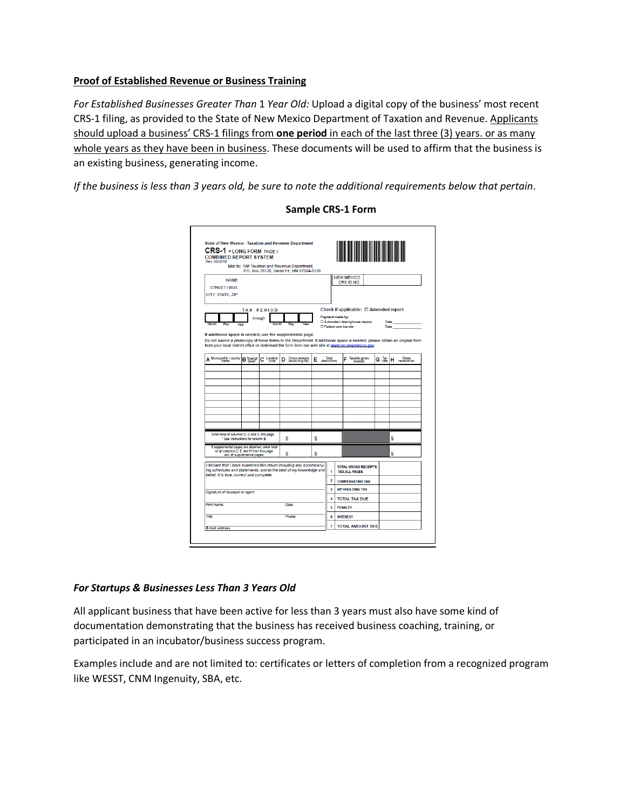## **Proof of Established Revenue or Business Training**

*For Established Businesses Greater Than* 1 *Year Old:* Upload a digital copy of the business' most recent CRS-1 filing, as provided to the State of New Mexico Department of Taxation and Revenue. Applicants should upload a business' CRS-1 filings from **one period** in each of the last three (3) years. or as many whole years as they have been in business. These documents will be used to affirm that the business is an existing business, generating income.

*If the business is less than 3 years old, be sure to note the additional requirements below that pertain*.

| <b>CRS-1 - LONG FORM PAGE 1</b><br><b>COMBINED REPORT SYSTEM</b>                  |                                                                                                                                                                                                                                           |                                                                 |                                                                                                                |                                                                                                                                                                                     |                  |                     |                                                                                                                                                                                                                                                                                       |                                                                                                                                                            |                                                                                                                                                                                                                                                 |
|-----------------------------------------------------------------------------------|-------------------------------------------------------------------------------------------------------------------------------------------------------------------------------------------------------------------------------------------|-----------------------------------------------------------------|----------------------------------------------------------------------------------------------------------------|-------------------------------------------------------------------------------------------------------------------------------------------------------------------------------------|------------------|---------------------|---------------------------------------------------------------------------------------------------------------------------------------------------------------------------------------------------------------------------------------------------------------------------------------|------------------------------------------------------------------------------------------------------------------------------------------------------------|-------------------------------------------------------------------------------------------------------------------------------------------------------------------------------------------------------------------------------------------------|
|                                                                                   |                                                                                                                                                                                                                                           |                                                                 |                                                                                                                |                                                                                                                                                                                     |                  |                     |                                                                                                                                                                                                                                                                                       |                                                                                                                                                            |                                                                                                                                                                                                                                                 |
|                                                                                   |                                                                                                                                                                                                                                           |                                                                 |                                                                                                                |                                                                                                                                                                                     |                  |                     |                                                                                                                                                                                                                                                                                       |                                                                                                                                                            |                                                                                                                                                                                                                                                 |
|                                                                                   |                                                                                                                                                                                                                                           |                                                                 |                                                                                                                |                                                                                                                                                                                     |                  |                     |                                                                                                                                                                                                                                                                                       |                                                                                                                                                            |                                                                                                                                                                                                                                                 |
|                                                                                   |                                                                                                                                                                                                                                           |                                                                 |                                                                                                                |                                                                                                                                                                                     |                  |                     |                                                                                                                                                                                                                                                                                       |                                                                                                                                                            |                                                                                                                                                                                                                                                 |
|                                                                                   |                                                                                                                                                                                                                                           |                                                                 |                                                                                                                |                                                                                                                                                                                     |                  |                     |                                                                                                                                                                                                                                                                                       |                                                                                                                                                            |                                                                                                                                                                                                                                                 |
|                                                                                   |                                                                                                                                                                                                                                           |                                                                 |                                                                                                                |                                                                                                                                                                                     |                  |                     |                                                                                                                                                                                                                                                                                       |                                                                                                                                                            |                                                                                                                                                                                                                                                 |
|                                                                                   |                                                                                                                                                                                                                                           |                                                                 |                                                                                                                |                                                                                                                                                                                     |                  |                     |                                                                                                                                                                                                                                                                                       |                                                                                                                                                            |                                                                                                                                                                                                                                                 |
|                                                                                   |                                                                                                                                                                                                                                           |                                                                 |                                                                                                                |                                                                                                                                                                                     |                  |                     |                                                                                                                                                                                                                                                                                       |                                                                                                                                                            |                                                                                                                                                                                                                                                 |
|                                                                                   |                                                                                                                                                                                                                                           |                                                                 |                                                                                                                |                                                                                                                                                                                     |                  |                     |                                                                                                                                                                                                                                                                                       |                                                                                                                                                            |                                                                                                                                                                                                                                                 |
|                                                                                   |                                                                                                                                                                                                                                           |                                                                 |                                                                                                                |                                                                                                                                                                                     |                  |                     |                                                                                                                                                                                                                                                                                       |                                                                                                                                                            |                                                                                                                                                                                                                                                 |
|                                                                                   |                                                                                                                                                                                                                                           |                                                                 |                                                                                                                |                                                                                                                                                                                     |                  |                     |                                                                                                                                                                                                                                                                                       |                                                                                                                                                            | Gross<br>receipts tax                                                                                                                                                                                                                           |
|                                                                                   |                                                                                                                                                                                                                                           |                                                                 |                                                                                                                |                                                                                                                                                                                     |                  |                     |                                                                                                                                                                                                                                                                                       |                                                                                                                                                            |                                                                                                                                                                                                                                                 |
|                                                                                   |                                                                                                                                                                                                                                           |                                                                 |                                                                                                                |                                                                                                                                                                                     |                  |                     |                                                                                                                                                                                                                                                                                       |                                                                                                                                                            |                                                                                                                                                                                                                                                 |
|                                                                                   |                                                                                                                                                                                                                                           |                                                                 |                                                                                                                |                                                                                                                                                                                     |                  |                     |                                                                                                                                                                                                                                                                                       |                                                                                                                                                            |                                                                                                                                                                                                                                                 |
|                                                                                   |                                                                                                                                                                                                                                           |                                                                 |                                                                                                                |                                                                                                                                                                                     |                  |                     |                                                                                                                                                                                                                                                                                       |                                                                                                                                                            |                                                                                                                                                                                                                                                 |
|                                                                                   |                                                                                                                                                                                                                                           |                                                                 |                                                                                                                |                                                                                                                                                                                     |                  |                     |                                                                                                                                                                                                                                                                                       |                                                                                                                                                            |                                                                                                                                                                                                                                                 |
|                                                                                   |                                                                                                                                                                                                                                           |                                                                 |                                                                                                                |                                                                                                                                                                                     |                  |                     |                                                                                                                                                                                                                                                                                       |                                                                                                                                                            |                                                                                                                                                                                                                                                 |
|                                                                                   |                                                                                                                                                                                                                                           |                                                                 |                                                                                                                |                                                                                                                                                                                     |                  |                     |                                                                                                                                                                                                                                                                                       |                                                                                                                                                            |                                                                                                                                                                                                                                                 |
|                                                                                   |                                                                                                                                                                                                                                           |                                                                 |                                                                                                                |                                                                                                                                                                                     |                  |                     |                                                                                                                                                                                                                                                                                       |                                                                                                                                                            |                                                                                                                                                                                                                                                 |
| Enter total of columns D, E and H, this page.<br>* See instructions for column B. |                                                                                                                                                                                                                                           | Ś<br>Ś                                                          |                                                                                                                |                                                                                                                                                                                     |                  |                     |                                                                                                                                                                                                                                                                                       | S                                                                                                                                                          |                                                                                                                                                                                                                                                 |
|                                                                                   |                                                                                                                                                                                                                                           |                                                                 |                                                                                                                |                                                                                                                                                                                     |                  |                     |                                                                                                                                                                                                                                                                                       |                                                                                                                                                            |                                                                                                                                                                                                                                                 |
|                                                                                   | Ś                                                                                                                                                                                                                                         | S                                                               |                                                                                                                |                                                                                                                                                                                     |                  |                     |                                                                                                                                                                                                                                                                                       | Ś                                                                                                                                                          |                                                                                                                                                                                                                                                 |
|                                                                                   |                                                                                                                                                                                                                                           |                                                                 |                                                                                                                |                                                                                                                                                                                     |                  |                     |                                                                                                                                                                                                                                                                                       |                                                                                                                                                            |                                                                                                                                                                                                                                                 |
|                                                                                   |                                                                                                                                                                                                                                           |                                                                 |                                                                                                                | Ŧ.                                                                                                                                                                                  |                  |                     |                                                                                                                                                                                                                                                                                       |                                                                                                                                                            |                                                                                                                                                                                                                                                 |
|                                                                                   |                                                                                                                                                                                                                                           |                                                                 |                                                                                                                | $\overline{\mathbf{2}}$                                                                                                                                                             |                  |                     |                                                                                                                                                                                                                                                                                       |                                                                                                                                                            |                                                                                                                                                                                                                                                 |
|                                                                                   |                                                                                                                                                                                                                                           |                                                                 |                                                                                                                | 3                                                                                                                                                                                   |                  |                     |                                                                                                                                                                                                                                                                                       |                                                                                                                                                            |                                                                                                                                                                                                                                                 |
|                                                                                   |                                                                                                                                                                                                                                           |                                                                 |                                                                                                                |                                                                                                                                                                                     |                  |                     |                                                                                                                                                                                                                                                                                       |                                                                                                                                                            |                                                                                                                                                                                                                                                 |
|                                                                                   | Date                                                                                                                                                                                                                                      |                                                                 |                                                                                                                |                                                                                                                                                                                     |                  |                     |                                                                                                                                                                                                                                                                                       |                                                                                                                                                            |                                                                                                                                                                                                                                                 |
|                                                                                   |                                                                                                                                                                                                                                           |                                                                 |                                                                                                                |                                                                                                                                                                                     |                  |                     |                                                                                                                                                                                                                                                                                       |                                                                                                                                                            |                                                                                                                                                                                                                                                 |
|                                                                                   |                                                                                                                                                                                                                                           |                                                                 |                                                                                                                |                                                                                                                                                                                     |                  |                     |                                                                                                                                                                                                                                                                                       |                                                                                                                                                            |                                                                                                                                                                                                                                                 |
|                                                                                   | <b>TAX PERIOD</b><br>through<br>C Location<br><b>B</b> Special<br>If supplemental pages are attached, enter total<br>of all columns D, E and H from this page<br>and all supplemental pages.<br>belief, it is true, correct and complete, | Month<br>Day<br>Gross receipts<br>(excluding tax)<br>D<br>Phone | Mail to: NM Taxation and Revenue Department.<br>If additional space is needed, use the supplemental page.<br>Е | P.O. Box 25128, Santa Fe, NM 87504-5128<br>I declare that I have examined this return including any accompany-<br>ing schedules and statements, and to the best of my knowledge and | 4<br>5<br>6<br>7 | Total<br>deductions | <b>NEW MEXICO</b><br>CRS ID NO.<br>Payment made by:<br>□ Automated clearinghouse deposit<br><b>D</b> Federal wire transfer<br>Taxable gross<br><b>TAX ALL PAGES</b><br><b>COMPENSATING TAX</b><br><b>WITHHOLDING TAX</b><br><b>TOTAL TAX DUE</b><br><b>PENALTY</b><br><b>INTEREST</b> | from your local district office or download the form from our web site at www.tax.newmexico.gov.<br><b>TOTAL GROSS RECEIPTS</b><br><b>TOTAL AMOUNT DUE</b> | Check if applicable: □ Amended report<br>Date<br><b>Date</b><br>Do not submit a photocopy of these forms to the Department. If additional space is needed, please obtain an original form<br>$\mathbf{G}$ $\frac{\text{Tax}}{\text{rate}}$<br>н |

## **Sample CRS-1 Form**

### *For Startups & Businesses Less Than 3 Years Old*

All applicant business that have been active for less than 3 years must also have some kind of documentation demonstrating that the business has received business coaching, training, or participated in an incubator/business success program.

Examples include and are not limited to: certificates or letters of completion from a recognized program like WESST, CNM Ingenuity, SBA, etc.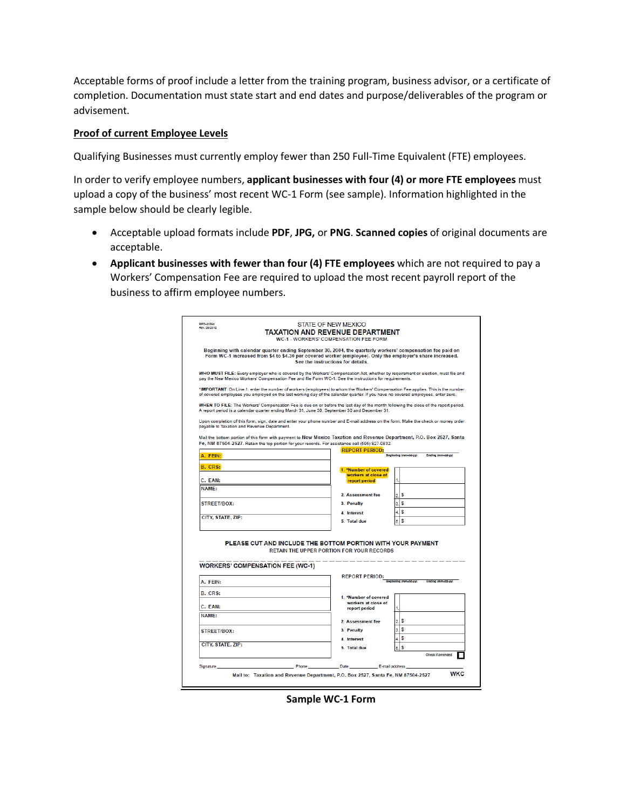Acceptable forms of proof include a letter from the training program, business advisor, or a certificate of completion. Documentation must state start and end dates and purpose/deliverables of the program or advisement.

### **Proof of current Employee Levels**

Qualifying Businesses must currently employ fewer than 250 Full-Time Equivalent (FTE) employees.

In order to verify employee numbers, **applicant businesses with four (4) or more FTE employees** must upload a copy of the business' most recent WC-1 Form (see sample). Information highlighted in the sample below should be clearly legible.

- Acceptable upload formats include **PDF**, **JPG,** or **PNG**. **Scanned copies** of original documents are acceptable.
- **Applicant businesses with fewer than four (4) FTE employees** which are not required to pay a Workers' Compensation Fee are required to upload the most recent payroll report of the business to affirm employee numbers.

| Rev. 08/2010       | <b>TAXATION AND REVENUE DEPARTMENT</b><br><b>WC-1 - WORKERS' COMPENSATION FEE FORM</b>                                                                                                                                                                               | <b>STATE OF NEW MEXICO</b>                                         |                |                                           |  |
|--------------------|----------------------------------------------------------------------------------------------------------------------------------------------------------------------------------------------------------------------------------------------------------------------|--------------------------------------------------------------------|----------------|-------------------------------------------|--|
|                    | Beginning with calendar quarter ending September 30, 2004, the quarterly workers' compensation fee paid on<br>Form WC-1 increased from \$4 to \$4.30 per covered worker (emplovee). Only the emplover's share increased.<br>See the instructions for details.        |                                                                    |                |                                           |  |
|                    | WHO MUST FILE: Every employer who is covered by the Workers' Compensation Act, whether by requirement or election, must file and<br>pay the New Mexico Workers' Compensation Fee and file Form WC-1. See the instructions for requirements.                          |                                                                    |                |                                           |  |
|                    | "IMPORTANT: On Line 1, enter the number of workers (employees) to whom the Workers' Compensation Fee applies. This is the number<br>of covered employees you employed on the last working day of the calendar quarter. If you have no covered employees, enter zero. |                                                                    |                |                                           |  |
|                    | WHEN TO FILE: The Workers' Compensation Fee is due on or before the last day of the month following the close of the report period.<br>A report period is a calendar quarter ending March 31, June 30, September 30 and December 31.                                 |                                                                    |                |                                           |  |
|                    | Upon completion of this form, sign, date and enter your phone number and E-mail address on the form. Make the check or money order<br>payable to Taxation and Revenue Department.                                                                                    |                                                                    |                |                                           |  |
|                    | Mail the bottom portion of this form with payment to New Mexico Taxation and Revenue Department, P.O. Box 2527, Santa<br>Fe, NM 87504-2527. Retain the top portion for your records. For assistance call (505) 827-0832.                                             |                                                                    |                |                                           |  |
| A. FEIN:           |                                                                                                                                                                                                                                                                      | <b>REPORT PERIOD:</b><br>Beginning (mm-dd-yy)<br>Ending (mm-dd-yy) |                |                                           |  |
| B. CRS:            |                                                                                                                                                                                                                                                                      | 1. *Number of covered                                              |                |                                           |  |
|                    |                                                                                                                                                                                                                                                                      | workers at close of                                                |                |                                           |  |
| C. EAN:<br>NAMF:   |                                                                                                                                                                                                                                                                      | report period                                                      | 1.             |                                           |  |
|                    |                                                                                                                                                                                                                                                                      | 2. Assessment fee                                                  | $\overline{2}$ | \$                                        |  |
| <b>STREET/BOX:</b> |                                                                                                                                                                                                                                                                      | 3. Penalty                                                         | 3.             | s                                         |  |
| CITY, STATE, ZIP:  |                                                                                                                                                                                                                                                                      | 4. Interest                                                        | 4.             | s                                         |  |
|                    |                                                                                                                                                                                                                                                                      | 5. Total due                                                       | 5.             | s                                         |  |
|                    | PLEASE CUT AND INCLUDE THE BOTTOM PORTION WITH YOUR PAYMENT<br><b>RETAIN THE UPPER PORTION FOR YOUR RECORDS</b>                                                                                                                                                      |                                                                    |                |                                           |  |
|                    | <b>WORKERS' COMPENSATION FEE (WC-1)</b>                                                                                                                                                                                                                              |                                                                    |                |                                           |  |
|                    |                                                                                                                                                                                                                                                                      |                                                                    |                |                                           |  |
| A. FEIN:           |                                                                                                                                                                                                                                                                      | <b>REPORT PERIOD:</b>                                              |                | Beginning (mm-dd-yy)<br>Ending (mm-dd-yy) |  |
|                    |                                                                                                                                                                                                                                                                      |                                                                    |                |                                           |  |
| B. CRS:<br>C. EAN: |                                                                                                                                                                                                                                                                      | 1. *Number of covered<br>workers at close of                       |                |                                           |  |
| <b>NAMF:</b>       |                                                                                                                                                                                                                                                                      | report period                                                      | 1.             |                                           |  |
|                    |                                                                                                                                                                                                                                                                      | 2. Assessment fee                                                  |                | 2.5                                       |  |
| <b>STREET/BOX:</b> |                                                                                                                                                                                                                                                                      | 3. Penalty                                                         | 3.             | s                                         |  |
| CITY, STATE, ZIP:  |                                                                                                                                                                                                                                                                      | 4. Interest                                                        | 4              | s                                         |  |
|                    |                                                                                                                                                                                                                                                                      | 5 Total due                                                        | 5              | s<br>Check if amended                     |  |
| Signature          |                                                                                                                                                                                                                                                                      |                                                                    |                |                                           |  |

**Sample WC-1 Form**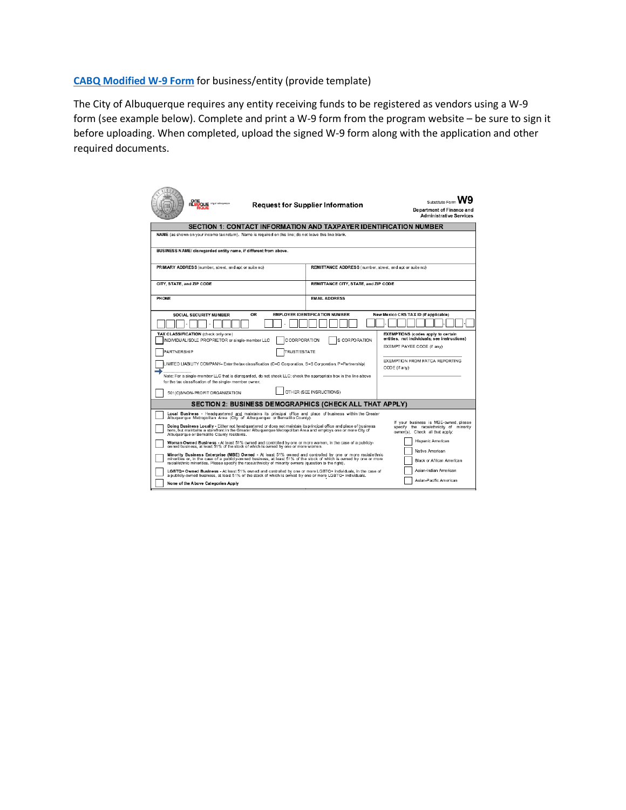**[CABQ Modified W-9 Form](https://www.cabq.gov/dfa/documents/purchasing-documents/modified-w9-updated-2019-07-11-1.pdf)** for business/entity (provide template)

The City of Albuquerque requires any entity receiving funds to be registered as vendors using a W-9 form (see example below). Complete and print a W-9 form from the program website – be sure to sign it before uploading. When completed, upload the signed W-9 form along with the application and other required documents.

| ONE<br><b>ALBUQUE</b> <sup>any of observerse</sup><br><b>Request for Supplier Information</b>                                                                                                                                                                                                                                                                                                           | Substitute Form<br><b>Department of Finance and</b><br><b>Administrative Services</b>                                                                                                                                                             |                                                 |  |  |  |  |  |
|---------------------------------------------------------------------------------------------------------------------------------------------------------------------------------------------------------------------------------------------------------------------------------------------------------------------------------------------------------------------------------------------------------|---------------------------------------------------------------------------------------------------------------------------------------------------------------------------------------------------------------------------------------------------|-------------------------------------------------|--|--|--|--|--|
| SECTION 1: CONTACT INFORMATION AND TAXPAYER IDENTIFICATION NUMBER                                                                                                                                                                                                                                                                                                                                       |                                                                                                                                                                                                                                                   |                                                 |  |  |  |  |  |
| NAME (as shown on your income tax return). Name is required on this line; do not leave this line blank.                                                                                                                                                                                                                                                                                                 |                                                                                                                                                                                                                                                   |                                                 |  |  |  |  |  |
| BUSINESS NAME/ disregarded entity name, if different from above.                                                                                                                                                                                                                                                                                                                                        |                                                                                                                                                                                                                                                   |                                                 |  |  |  |  |  |
| PRIMARY ADDRESS (number, street, and apt or suite no)                                                                                                                                                                                                                                                                                                                                                   | REMITTANCE ADDRESS (number, street, and apt or suite no)                                                                                                                                                                                          |                                                 |  |  |  |  |  |
| CITY, STATE, and ZIP CODE                                                                                                                                                                                                                                                                                                                                                                               | REMITTANCE CITY, STATE, and ZIP CODE                                                                                                                                                                                                              |                                                 |  |  |  |  |  |
| PHONE                                                                                                                                                                                                                                                                                                                                                                                                   | <b>FMAIL ADDRESS</b>                                                                                                                                                                                                                              |                                                 |  |  |  |  |  |
| OR<br><b>SOCIAL SECURITY NUMBER</b>                                                                                                                                                                                                                                                                                                                                                                     | <b>EMPLOYER IDENTIFICATION NUMBER</b>                                                                                                                                                                                                             | New Mexico CRS TAX ID (if applicable)           |  |  |  |  |  |
|                                                                                                                                                                                                                                                                                                                                                                                                         |                                                                                                                                                                                                                                                   |                                                 |  |  |  |  |  |
| TAX CLASSIFICATION (check only one)<br>C CORPORATION<br>INDIVIDUAL/SOLE PROPRIETOR or single-member LLC<br>TRUST/ESTATE<br>PARTNERSHIP                                                                                                                                                                                                                                                                  | <b>EXEMPTIONS</b> (codes apply to certain<br>entities, not individuals; see instructions)<br>EXEMPT PAYEE CODE (if any)                                                                                                                           |                                                 |  |  |  |  |  |
| IMITED LIABILITY COMPANY- Enter the tax classification (C=C Corporation, S=S Corporation, P=Partnership)                                                                                                                                                                                                                                                                                                |                                                                                                                                                                                                                                                   | EXEMPTION FROM FATCA REPORTING<br>CODE (if any) |  |  |  |  |  |
| Note: For a single-member LLC that is disregarded, do not check LLC; check the appropriate box in the line above<br>for the tax classification of the single- member owner.                                                                                                                                                                                                                             |                                                                                                                                                                                                                                                   |                                                 |  |  |  |  |  |
| OTHER (SEE INSRUCTIONS)<br>501(C)3/NON-PROFIT ORGANIZATION                                                                                                                                                                                                                                                                                                                                              |                                                                                                                                                                                                                                                   |                                                 |  |  |  |  |  |
| SECTION 2: BUSINESS DEMOGRAPHICS (CHECK ALL THAT APPLY)                                                                                                                                                                                                                                                                                                                                                 |                                                                                                                                                                                                                                                   |                                                 |  |  |  |  |  |
| Local Business - Headquartered and maintains its principal office and place of business within the Greater<br>Albuquerque Metropolitan Area (City of Albuquerque or Bernalillo County).                                                                                                                                                                                                                 |                                                                                                                                                                                                                                                   |                                                 |  |  |  |  |  |
| If your business is MBE-owned, please<br>Doing Business Locally - Either not headquartered or does not maintain its principal office and place of business<br>specify the race/ethnicity of minority<br>here, but maintains a storefront in the Greater Albuquerque Metropolitan Area and employs one or more City of<br>owner(s). Check all that apply:<br>Albuquerque or Bernalillo County residents. |                                                                                                                                                                                                                                                   |                                                 |  |  |  |  |  |
| Woman Owned Business - At least 51% owned and controlled by one or more women, in the case of a publicly-<br>owned business, at least 51% of the stock of which is owned by one or more women.                                                                                                                                                                                                          | Hispanic American                                                                                                                                                                                                                                 |                                                 |  |  |  |  |  |
| Native American<br>Minority Business Enterprise (MBE) Owned - At least 51% owned and controlled by one or more racial/ethnic<br>minorities or, in the case of a publicly-owned business, at least 51% of the stock of which is owned by one or more<br>Black or African American<br>racial/ethnic minorities. Please specify the race/ethnicity of minority owners (question to the right).             |                                                                                                                                                                                                                                                   |                                                 |  |  |  |  |  |
|                                                                                                                                                                                                                                                                                                                                                                                                         | Asian-Indian American<br>LGBTQ+ Owned Business - At least 51% owned and controlled by one or more LGBTQ+ individuals, in the case of<br>a publicly-owned business, at least 51% of the stock of which is owned by one or more LGBTQ+ individuals. |                                                 |  |  |  |  |  |
| Asian-Pacific American<br>None of the Above Categories Apply                                                                                                                                                                                                                                                                                                                                            |                                                                                                                                                                                                                                                   |                                                 |  |  |  |  |  |